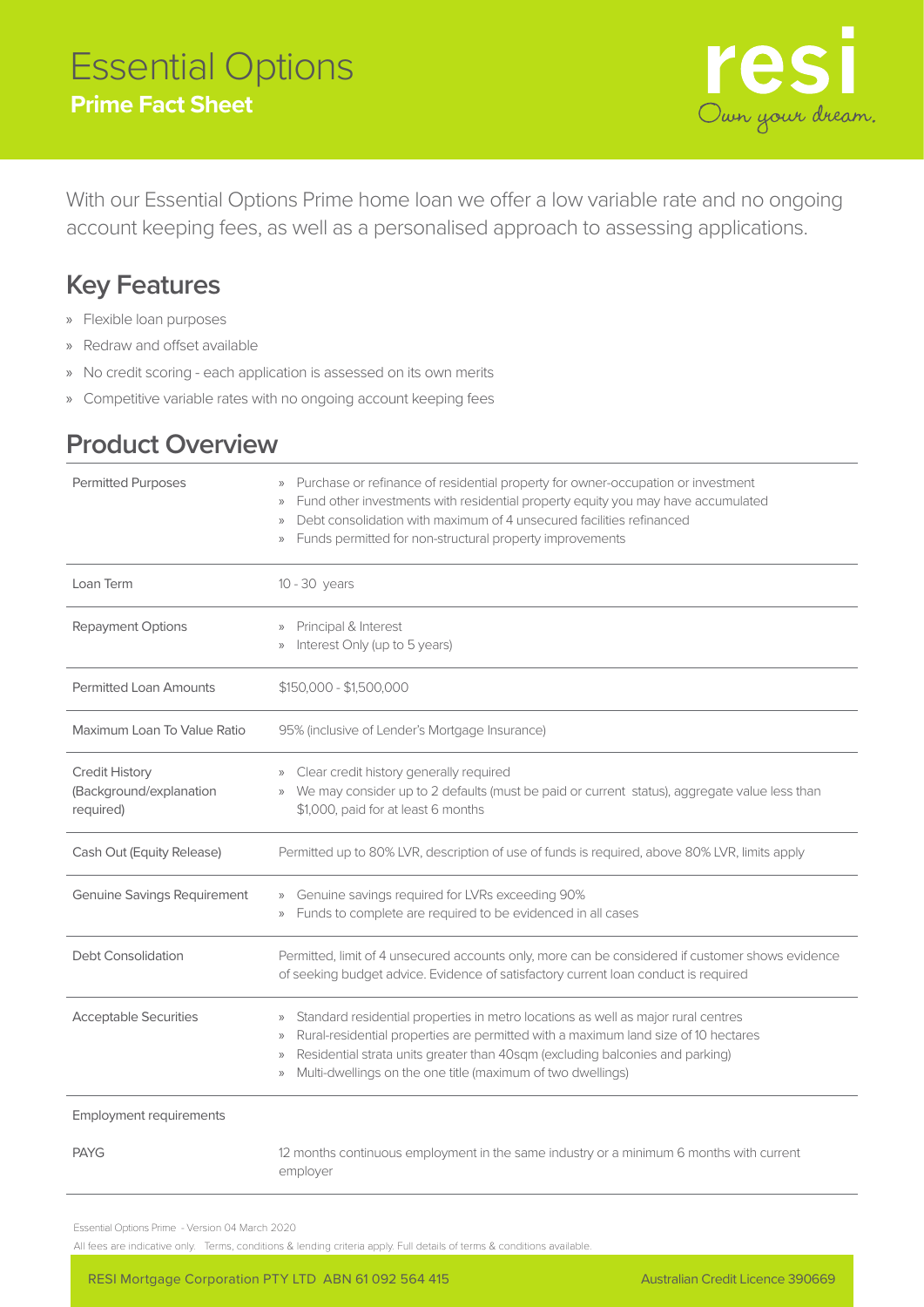# Essential Options **Prime Fact Sheet**



With our Essential Options Prime home loan we offer a low variable rate and no ongoing account keeping fees, as well as a personalised approach to assessing applications.

## **Key Features**

- » Flexible loan purposes
- » Redraw and offset available
- » No credit scoring each application is assessed on its own merits
- » Competitive variable rates with no ongoing account keeping fees

## **Product Overview**

| <b>Permitted Purposes</b>                                     | Purchase or refinance of residential property for owner-occupation or investment<br>$\rangle\rangle$<br>Fund other investments with residential property equity you may have accumulated<br>Debt consolidation with maximum of 4 unsecured facilities refinanced<br>$\rangle\!\rangle$<br>Funds permitted for non-structural property improvements<br>$\rangle\rangle$                        |
|---------------------------------------------------------------|-----------------------------------------------------------------------------------------------------------------------------------------------------------------------------------------------------------------------------------------------------------------------------------------------------------------------------------------------------------------------------------------------|
| Loan Term                                                     | 10 - 30 years                                                                                                                                                                                                                                                                                                                                                                                 |
| Repayment Options                                             | Principal & Interest<br>Interest Only (up to 5 years)<br>$\rangle\!\rangle$                                                                                                                                                                                                                                                                                                                   |
| <b>Permitted Loan Amounts</b>                                 | $$150,000 - $1,500,000$                                                                                                                                                                                                                                                                                                                                                                       |
| Maximum Loan To Value Ratio                                   | 95% (inclusive of Lender's Mortgage Insurance)                                                                                                                                                                                                                                                                                                                                                |
| <b>Credit History</b><br>(Background/explanation<br>required) | Clear credit history generally required<br>$\rangle\rangle$<br>We may consider up to 2 defaults (must be paid or current status), aggregate value less than<br>$\rangle\!\rangle$<br>\$1,000, paid for at least 6 months                                                                                                                                                                      |
| Cash Out (Equity Release)                                     | Permitted up to 80% LVR, description of use of funds is required, above 80% LVR, limits apply                                                                                                                                                                                                                                                                                                 |
| <b>Genuine Savings Requirement</b>                            | Genuine savings required for LVRs exceeding 90%<br>$\rangle$<br>Funds to complete are required to be evidenced in all cases<br>$\rangle\!\rangle$                                                                                                                                                                                                                                             |
| <b>Debt Consolidation</b>                                     | Permitted, limit of 4 unsecured accounts only, more can be considered if customer shows evidence<br>of seeking budget advice. Evidence of satisfactory current loan conduct is required                                                                                                                                                                                                       |
| <b>Acceptable Securities</b>                                  | Standard residential properties in metro locations as well as major rural centres<br>$\rangle$<br>Rural-residential properties are permitted with a maximum land size of 10 hectares<br>$\rangle$<br>Residential strata units greater than 40sqm (excluding balconies and parking)<br>$\rangle\!\rangle$<br>Multi-dwellings on the one title (maximum of two dwellings)<br>$\rangle\!\rangle$ |
| <b>Employment requirements</b>                                |                                                                                                                                                                                                                                                                                                                                                                                               |
| <b>PAYG</b>                                                   | 12 months continuous employment in the same industry or a minimum 6 months with current<br>employer                                                                                                                                                                                                                                                                                           |

Essential Options Prime - Version 04 March 2020

All fees are indicative only. Terms, conditions & lending criteria apply. Full details of terms & conditions available.